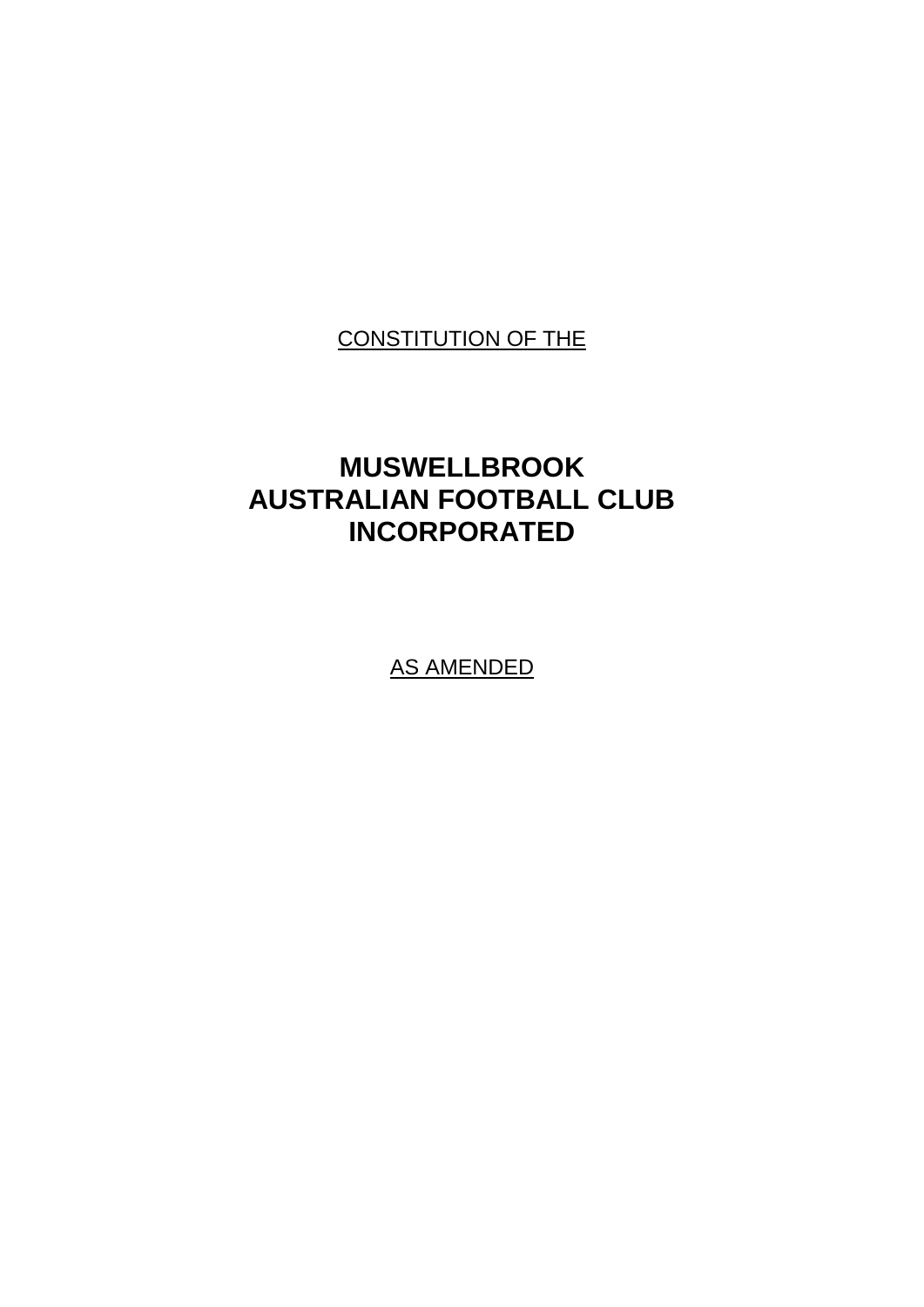# CONSTITUTION OF THE

# **MUSWELLBROOK AUSTRALIAN FOOTBALL CLUB INCORPORATED**

AS AMENDED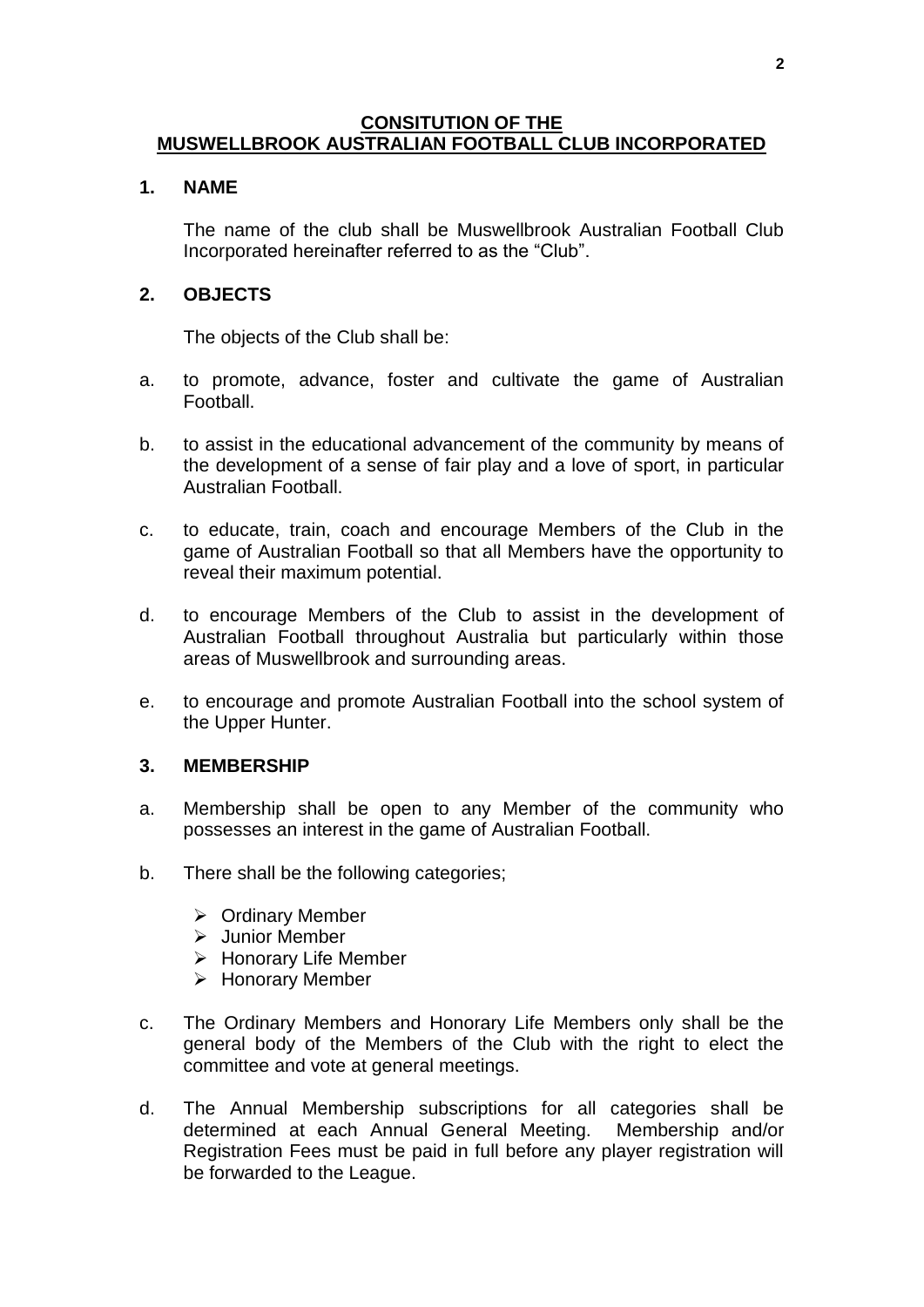# **CONSITUTION OF THE MUSWELLBROOK AUSTRALIAN FOOTBALL CLUB INCORPORATED**

#### **1. NAME**

The name of the club shall be Muswellbrook Australian Football Club Incorporated hereinafter referred to as the "Club".

#### **2. OBJECTS**

The objects of the Club shall be:

- a. to promote, advance, foster and cultivate the game of Australian Football.
- b. to assist in the educational advancement of the community by means of the development of a sense of fair play and a love of sport, in particular Australian Football.
- c. to educate, train, coach and encourage Members of the Club in the game of Australian Football so that all Members have the opportunity to reveal their maximum potential.
- d. to encourage Members of the Club to assist in the development of Australian Football throughout Australia but particularly within those areas of Muswellbrook and surrounding areas.
- e. to encourage and promote Australian Football into the school system of the Upper Hunter.

#### **3. MEMBERSHIP**

- a. Membership shall be open to any Member of the community who possesses an interest in the game of Australian Football.
- b. There shall be the following categories;
	- ➢ Ordinary Member
	- ➢ Junior Member
	- ➢ Honorary Life Member
	- ➢ Honorary Member
- c. The Ordinary Members and Honorary Life Members only shall be the general body of the Members of the Club with the right to elect the committee and vote at general meetings.
- d. The Annual Membership subscriptions for all categories shall be determined at each Annual General Meeting. Membership and/or Registration Fees must be paid in full before any player registration will be forwarded to the League.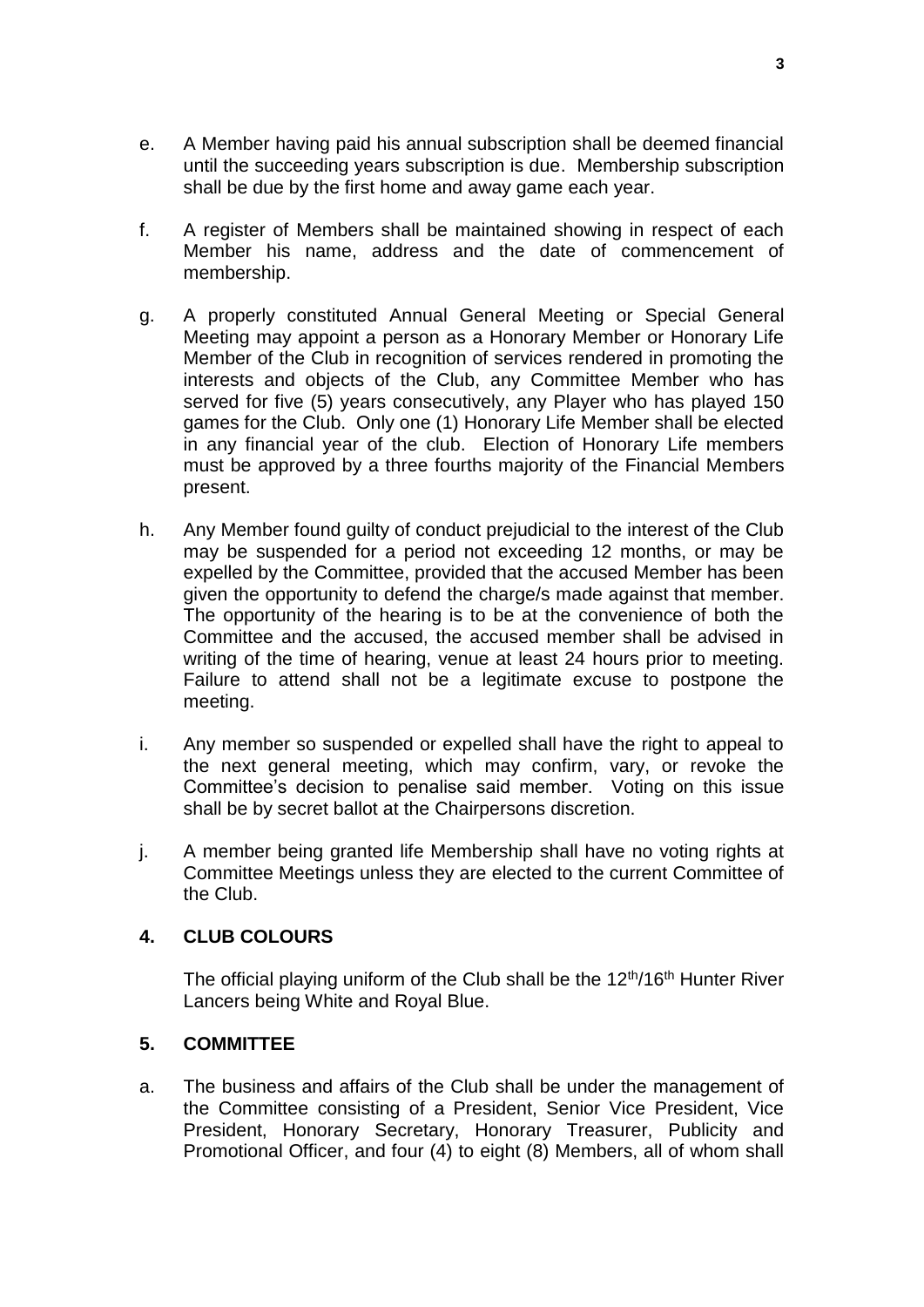- e. A Member having paid his annual subscription shall be deemed financial until the succeeding years subscription is due. Membership subscription shall be due by the first home and away game each year.
- f. A register of Members shall be maintained showing in respect of each Member his name, address and the date of commencement of membership.
- g. A properly constituted Annual General Meeting or Special General Meeting may appoint a person as a Honorary Member or Honorary Life Member of the Club in recognition of services rendered in promoting the interests and objects of the Club, any Committee Member who has served for five (5) years consecutively, any Player who has played 150 games for the Club. Only one (1) Honorary Life Member shall be elected in any financial year of the club. Election of Honorary Life members must be approved by a three fourths majority of the Financial Members present.
- h. Any Member found guilty of conduct prejudicial to the interest of the Club may be suspended for a period not exceeding 12 months, or may be expelled by the Committee, provided that the accused Member has been given the opportunity to defend the charge/s made against that member. The opportunity of the hearing is to be at the convenience of both the Committee and the accused, the accused member shall be advised in writing of the time of hearing, venue at least 24 hours prior to meeting. Failure to attend shall not be a legitimate excuse to postpone the meeting.
- i. Any member so suspended or expelled shall have the right to appeal to the next general meeting, which may confirm, vary, or revoke the Committee's decision to penalise said member. Voting on this issue shall be by secret ballot at the Chairpersons discretion.
- j. A member being granted life Membership shall have no voting rights at Committee Meetings unless they are elected to the current Committee of the Club.

#### **4. CLUB COLOURS**

The official playing uniform of the Club shall be the  $12<sup>th</sup>/16<sup>th</sup>$  Hunter River Lancers being White and Royal Blue.

# **5. COMMITTEE**

a. The business and affairs of the Club shall be under the management of the Committee consisting of a President, Senior Vice President, Vice President, Honorary Secretary, Honorary Treasurer, Publicity and Promotional Officer, and four (4) to eight (8) Members, all of whom shall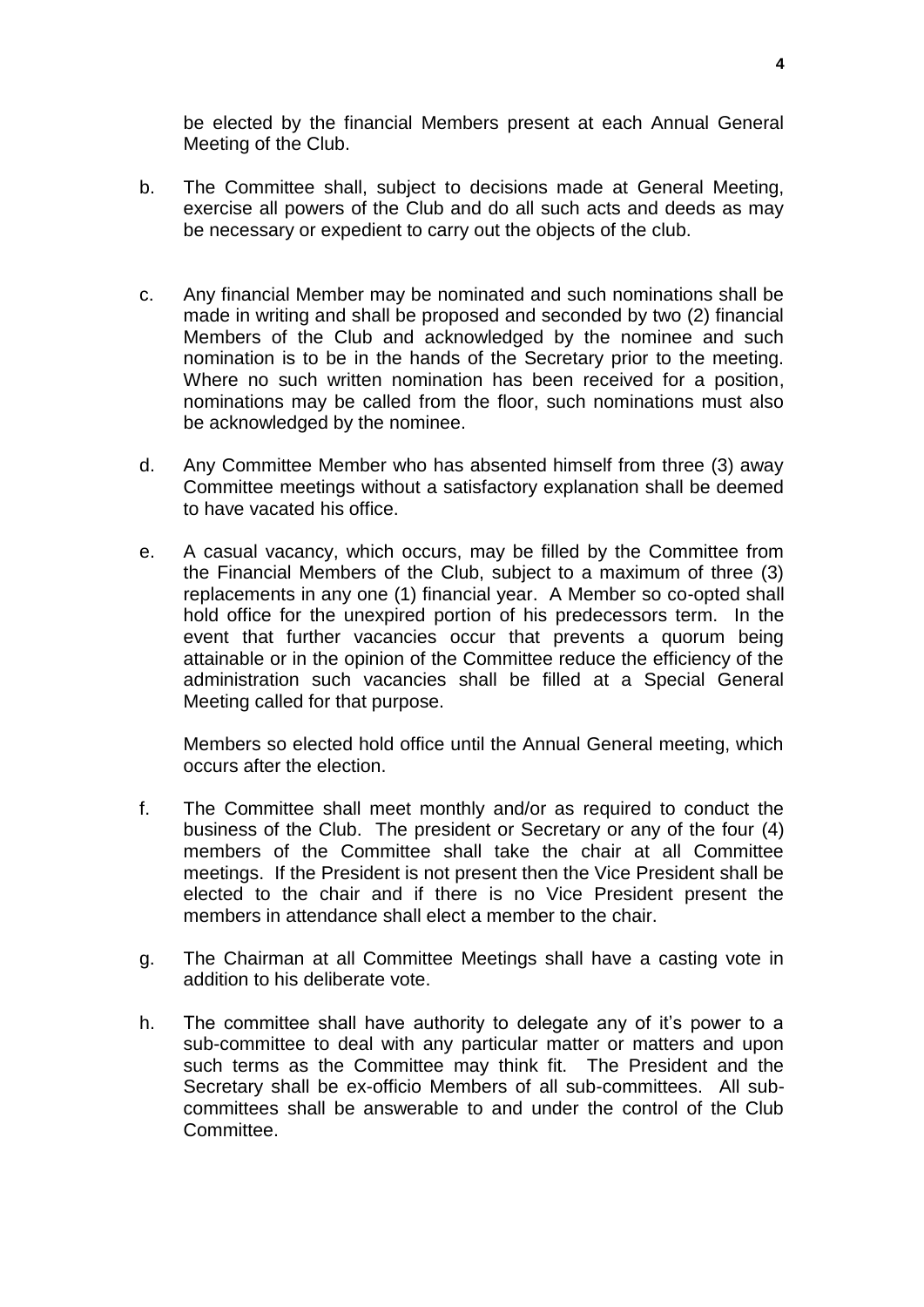be elected by the financial Members present at each Annual General Meeting of the Club.

- b. The Committee shall, subject to decisions made at General Meeting, exercise all powers of the Club and do all such acts and deeds as may be necessary or expedient to carry out the objects of the club.
- c. Any financial Member may be nominated and such nominations shall be made in writing and shall be proposed and seconded by two (2) financial Members of the Club and acknowledged by the nominee and such nomination is to be in the hands of the Secretary prior to the meeting. Where no such written nomination has been received for a position, nominations may be called from the floor, such nominations must also be acknowledged by the nominee.
- d. Any Committee Member who has absented himself from three (3) away Committee meetings without a satisfactory explanation shall be deemed to have vacated his office.
- e. A casual vacancy, which occurs, may be filled by the Committee from the Financial Members of the Club, subject to a maximum of three (3) replacements in any one (1) financial year. A Member so co-opted shall hold office for the unexpired portion of his predecessors term. In the event that further vacancies occur that prevents a quorum being attainable or in the opinion of the Committee reduce the efficiency of the administration such vacancies shall be filled at a Special General Meeting called for that purpose.

Members so elected hold office until the Annual General meeting, which occurs after the election.

- f. The Committee shall meet monthly and/or as required to conduct the business of the Club. The president or Secretary or any of the four (4) members of the Committee shall take the chair at all Committee meetings. If the President is not present then the Vice President shall be elected to the chair and if there is no Vice President present the members in attendance shall elect a member to the chair.
- g. The Chairman at all Committee Meetings shall have a casting vote in addition to his deliberate vote.
- h. The committee shall have authority to delegate any of it's power to a sub-committee to deal with any particular matter or matters and upon such terms as the Committee may think fit. The President and the Secretary shall be ex-officio Members of all sub-committees. All subcommittees shall be answerable to and under the control of the Club **Committee**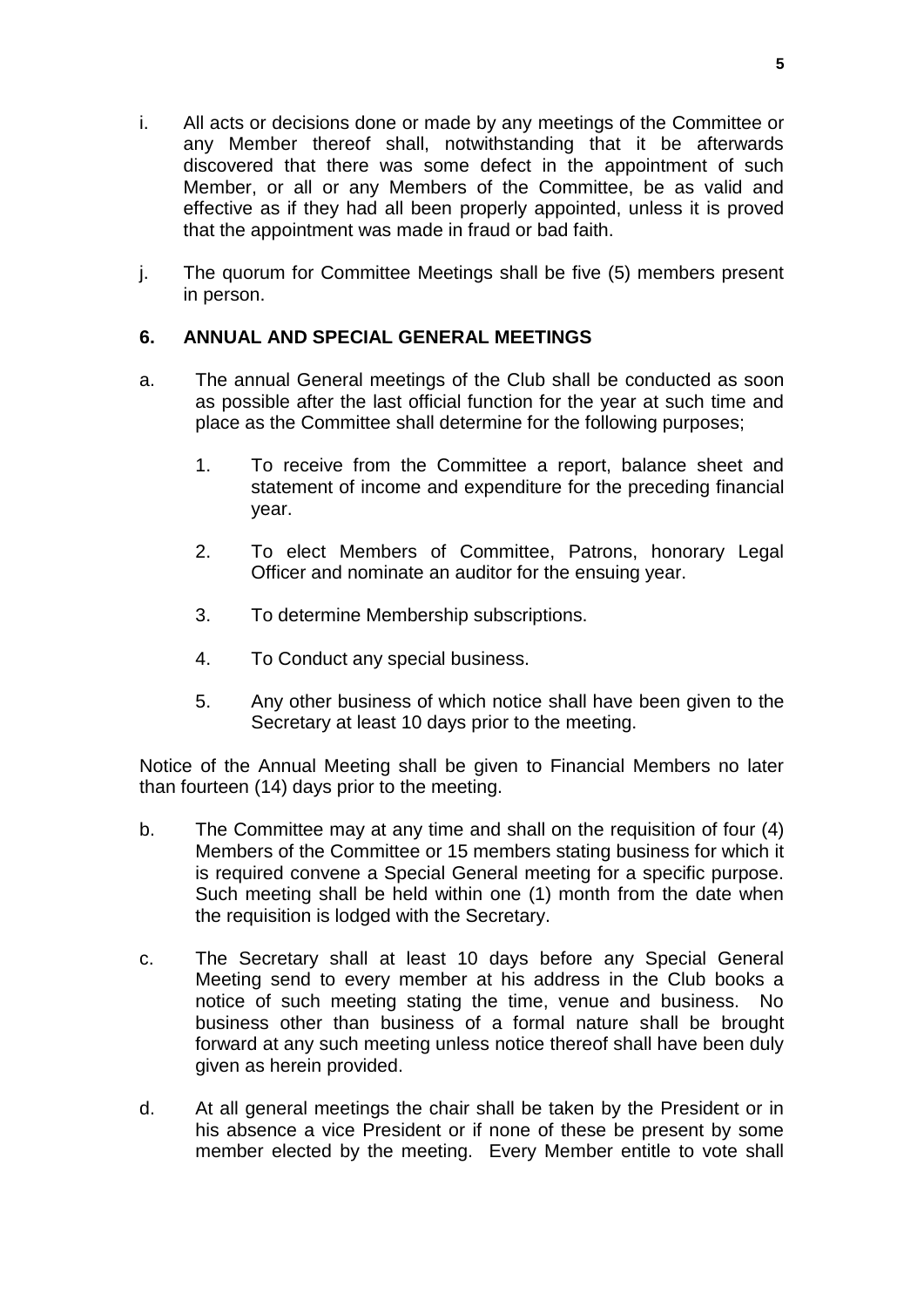- i. All acts or decisions done or made by any meetings of the Committee or any Member thereof shall, notwithstanding that it be afterwards discovered that there was some defect in the appointment of such Member, or all or any Members of the Committee, be as valid and effective as if they had all been properly appointed, unless it is proved that the appointment was made in fraud or bad faith.
- j. The quorum for Committee Meetings shall be five (5) members present in person.

# **6. ANNUAL AND SPECIAL GENERAL MEETINGS**

- a. The annual General meetings of the Club shall be conducted as soon as possible after the last official function for the year at such time and place as the Committee shall determine for the following purposes;
	- 1. To receive from the Committee a report, balance sheet and statement of income and expenditure for the preceding financial year.
	- 2. To elect Members of Committee, Patrons, honorary Legal Officer and nominate an auditor for the ensuing year.
	- 3. To determine Membership subscriptions.
	- 4. To Conduct any special business.
	- 5. Any other business of which notice shall have been given to the Secretary at least 10 days prior to the meeting.

Notice of the Annual Meeting shall be given to Financial Members no later than fourteen (14) days prior to the meeting.

- b. The Committee may at any time and shall on the requisition of four (4) Members of the Committee or 15 members stating business for which it is required convene a Special General meeting for a specific purpose. Such meeting shall be held within one (1) month from the date when the requisition is lodged with the Secretary.
- c. The Secretary shall at least 10 days before any Special General Meeting send to every member at his address in the Club books a notice of such meeting stating the time, venue and business. No business other than business of a formal nature shall be brought forward at any such meeting unless notice thereof shall have been duly given as herein provided.
- d. At all general meetings the chair shall be taken by the President or in his absence a vice President or if none of these be present by some member elected by the meeting. Every Member entitle to vote shall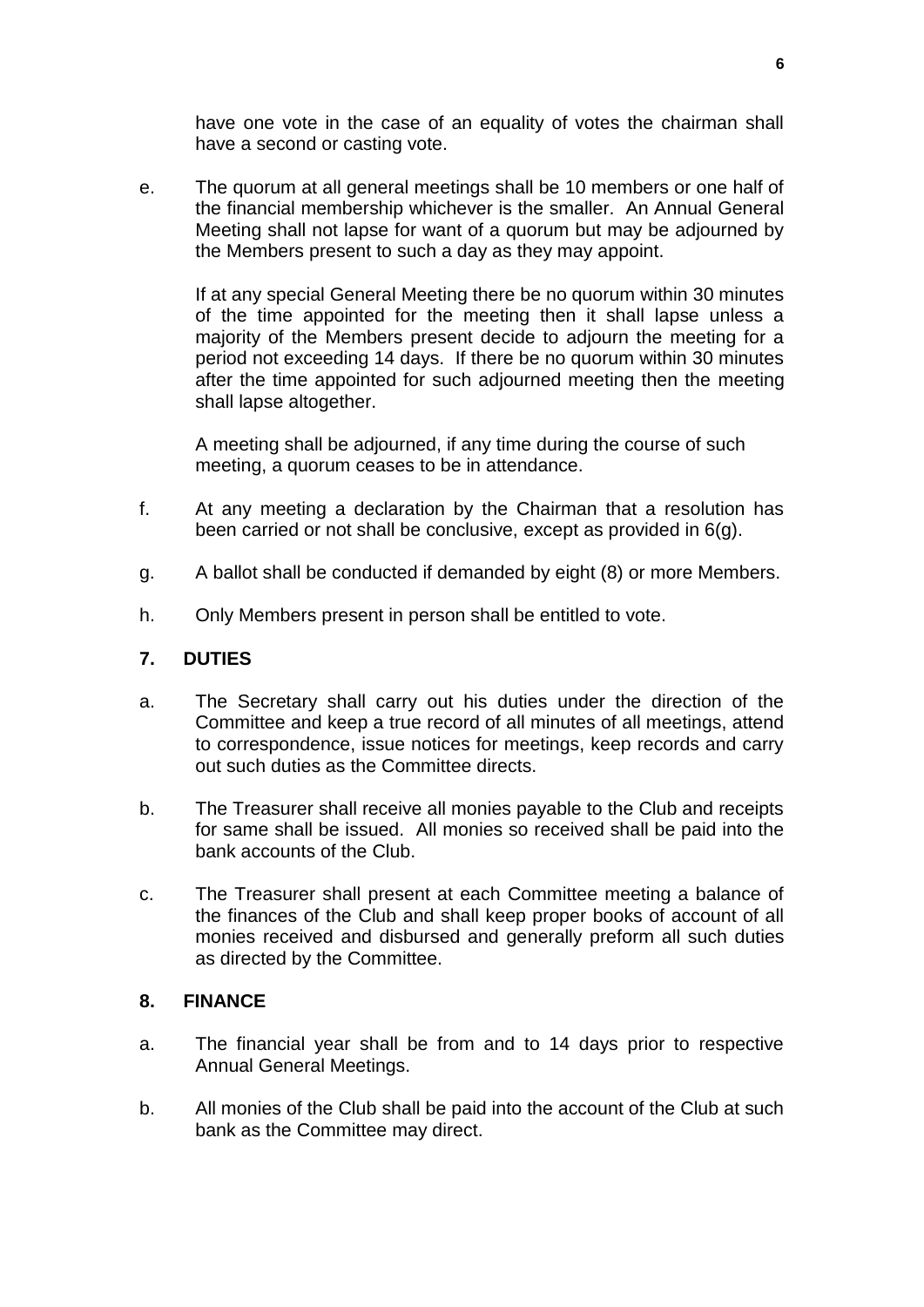have one vote in the case of an equality of votes the chairman shall have a second or casting vote.

e. The quorum at all general meetings shall be 10 members or one half of the financial membership whichever is the smaller. An Annual General Meeting shall not lapse for want of a quorum but may be adjourned by the Members present to such a day as they may appoint.

If at any special General Meeting there be no quorum within 30 minutes of the time appointed for the meeting then it shall lapse unless a majority of the Members present decide to adjourn the meeting for a period not exceeding 14 days. If there be no quorum within 30 minutes after the time appointed for such adjourned meeting then the meeting shall lapse altogether.

A meeting shall be adjourned, if any time during the course of such meeting, a quorum ceases to be in attendance.

- f. At any meeting a declaration by the Chairman that a resolution has been carried or not shall be conclusive, except as provided in 6(g).
- g. A ballot shall be conducted if demanded by eight (8) or more Members.
- h. Only Members present in person shall be entitled to vote.

#### **7. DUTIES**

- a. The Secretary shall carry out his duties under the direction of the Committee and keep a true record of all minutes of all meetings, attend to correspondence, issue notices for meetings, keep records and carry out such duties as the Committee directs.
- b. The Treasurer shall receive all monies payable to the Club and receipts for same shall be issued. All monies so received shall be paid into the bank accounts of the Club.
- c. The Treasurer shall present at each Committee meeting a balance of the finances of the Club and shall keep proper books of account of all monies received and disbursed and generally preform all such duties as directed by the Committee.

#### **8. FINANCE**

- a. The financial year shall be from and to 14 days prior to respective Annual General Meetings.
- b. All monies of the Club shall be paid into the account of the Club at such bank as the Committee may direct.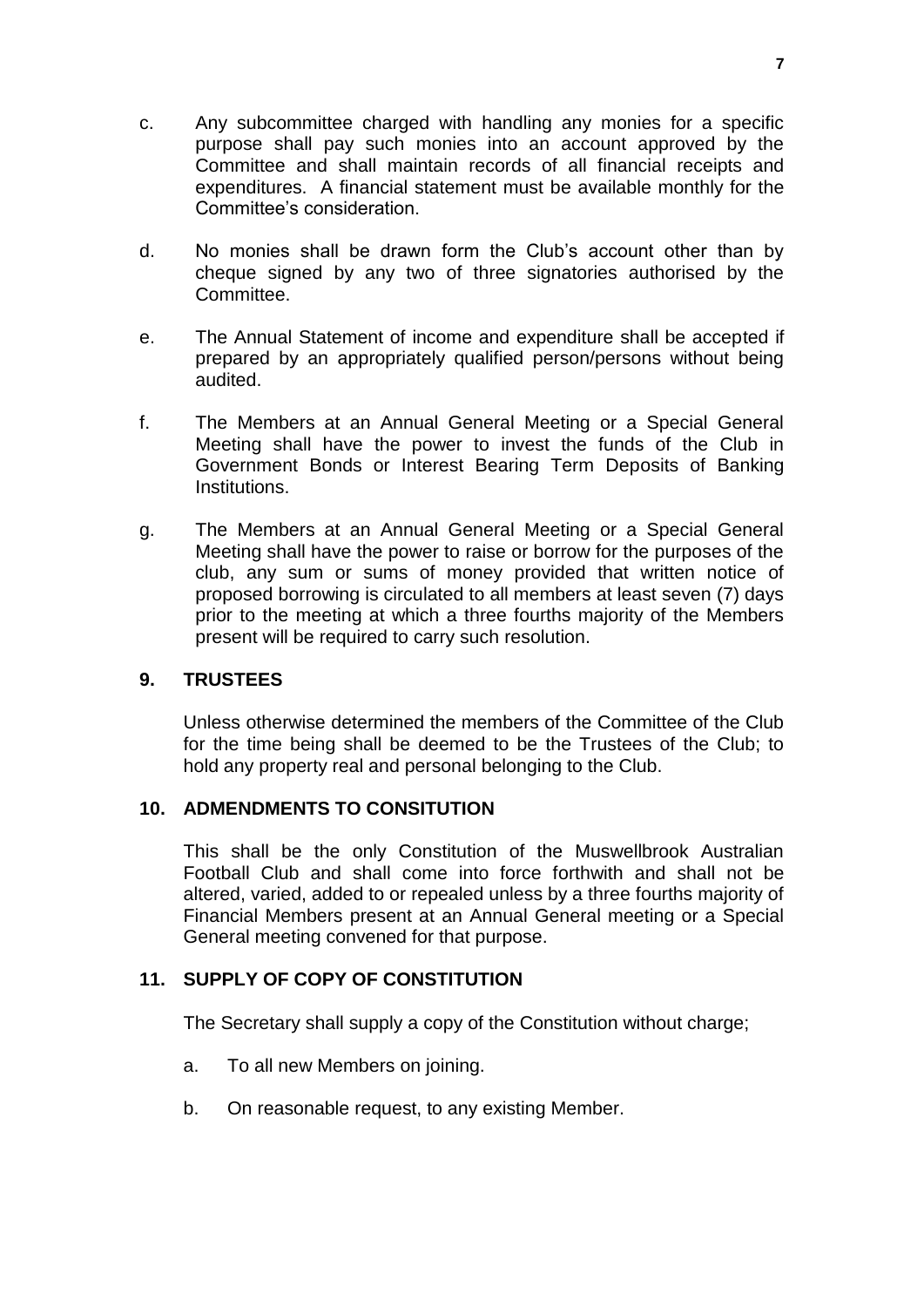- c. Any subcommittee charged with handling any monies for a specific purpose shall pay such monies into an account approved by the Committee and shall maintain records of all financial receipts and expenditures. A financial statement must be available monthly for the Committee's consideration.
- d. No monies shall be drawn form the Club's account other than by cheque signed by any two of three signatories authorised by the Committee.
- e. The Annual Statement of income and expenditure shall be accepted if prepared by an appropriately qualified person/persons without being audited.
- f. The Members at an Annual General Meeting or a Special General Meeting shall have the power to invest the funds of the Club in Government Bonds or Interest Bearing Term Deposits of Banking Institutions.
- g. The Members at an Annual General Meeting or a Special General Meeting shall have the power to raise or borrow for the purposes of the club, any sum or sums of money provided that written notice of proposed borrowing is circulated to all members at least seven (7) days prior to the meeting at which a three fourths majority of the Members present will be required to carry such resolution.

#### **9. TRUSTEES**

Unless otherwise determined the members of the Committee of the Club for the time being shall be deemed to be the Trustees of the Club; to hold any property real and personal belonging to the Club.

#### **10. ADMENDMENTS TO CONSITUTION**

This shall be the only Constitution of the Muswellbrook Australian Football Club and shall come into force forthwith and shall not be altered, varied, added to or repealed unless by a three fourths majority of Financial Members present at an Annual General meeting or a Special General meeting convened for that purpose.

#### **11. SUPPLY OF COPY OF CONSTITUTION**

The Secretary shall supply a copy of the Constitution without charge;

- a. To all new Members on joining.
- b. On reasonable request, to any existing Member.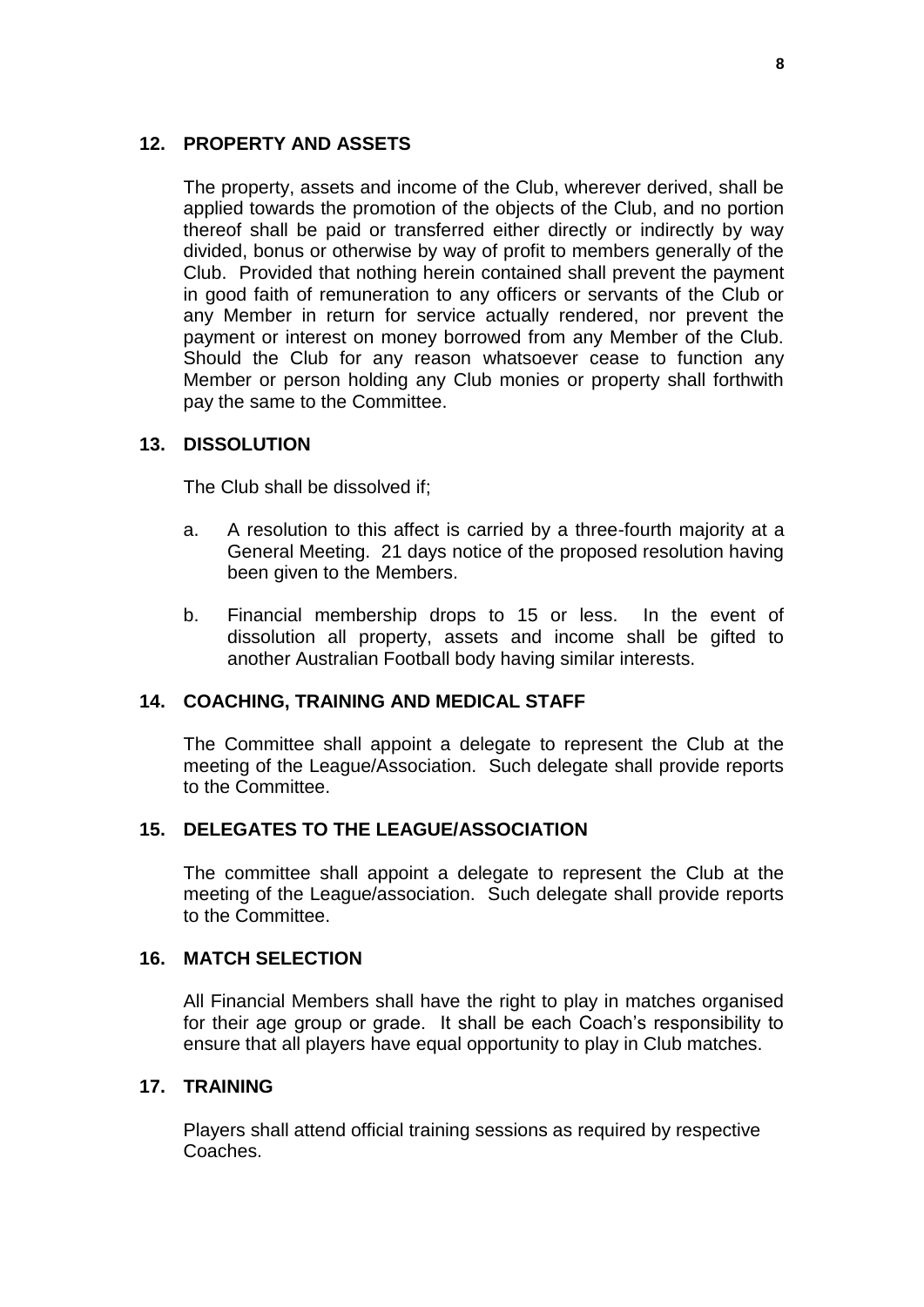#### **12. PROPERTY AND ASSETS**

The property, assets and income of the Club, wherever derived, shall be applied towards the promotion of the objects of the Club, and no portion thereof shall be paid or transferred either directly or indirectly by way divided, bonus or otherwise by way of profit to members generally of the Club. Provided that nothing herein contained shall prevent the payment in good faith of remuneration to any officers or servants of the Club or any Member in return for service actually rendered, nor prevent the payment or interest on money borrowed from any Member of the Club. Should the Club for any reason whatsoever cease to function any Member or person holding any Club monies or property shall forthwith pay the same to the Committee.

# **13. DISSOLUTION**

The Club shall be dissolved if;

- a. A resolution to this affect is carried by a three-fourth majority at a General Meeting. 21 days notice of the proposed resolution having been given to the Members.
- b. Financial membership drops to 15 or less. In the event of dissolution all property, assets and income shall be gifted to another Australian Football body having similar interests.

# **14. COACHING, TRAINING AND MEDICAL STAFF**

The Committee shall appoint a delegate to represent the Club at the meeting of the League/Association. Such delegate shall provide reports to the Committee.

#### **15. DELEGATES TO THE LEAGUE/ASSOCIATION**

The committee shall appoint a delegate to represent the Club at the meeting of the League/association. Such delegate shall provide reports to the Committee.

#### **16. MATCH SELECTION**

All Financial Members shall have the right to play in matches organised for their age group or grade. It shall be each Coach's responsibility to ensure that all players have equal opportunity to play in Club matches.

#### **17. TRAINING**

Players shall attend official training sessions as required by respective Coaches.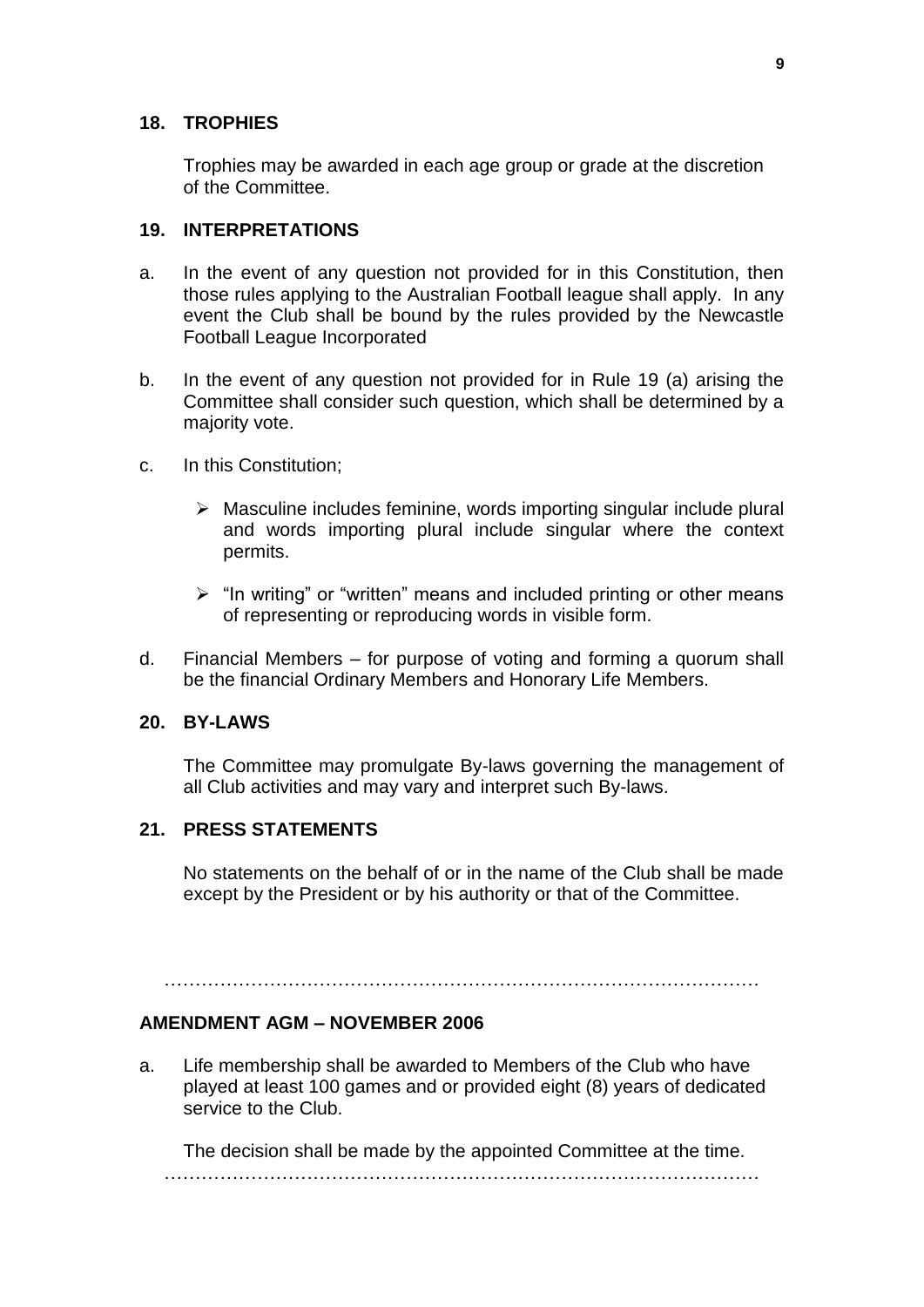#### **18. TROPHIES**

Trophies may be awarded in each age group or grade at the discretion of the Committee.

#### **19. INTERPRETATIONS**

- a. In the event of any question not provided for in this Constitution, then those rules applying to the Australian Football league shall apply. In any event the Club shall be bound by the rules provided by the Newcastle Football League Incorporated
- b. In the event of any question not provided for in Rule 19 (a) arising the Committee shall consider such question, which shall be determined by a majority vote.
- c. In this Constitution;
	- ➢ Masculine includes feminine, words importing singular include plural and words importing plural include singular where the context permits.
	- $\triangleright$  "In writing" or "written" means and included printing or other means of representing or reproducing words in visible form.
- d. Financial Members for purpose of voting and forming a quorum shall be the financial Ordinary Members and Honorary Life Members.

#### **20. BY-LAWS**

The Committee may promulgate By-laws governing the management of all Club activities and may vary and interpret such By-laws.

# **21. PRESS STATEMENTS**

No statements on the behalf of or in the name of the Club shall be made except by the President or by his authority or that of the Committee.

 $\mathcal{L}^{\text{max}}$ 

#### **AMENDMENT AGM – NOVEMBER 2006**

a. Life membership shall be awarded to Members of the Club who have played at least 100 games and or provided eight (8) years of dedicated service to the Club.

The decision shall be made by the appointed Committee at the time. ……………………………………………………………………………………